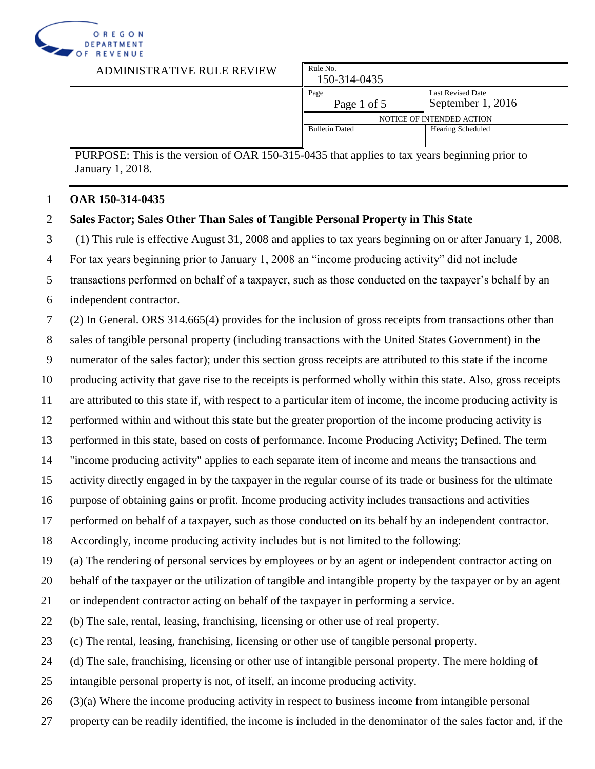

| ADMINISTRATIVE RULE REVIEW | Rule No.<br>150-314-0435 |                                               |
|----------------------------|--------------------------|-----------------------------------------------|
|                            | Page<br>Page 1 of 5      | <b>Last Revised Date</b><br>September 1, 2016 |
|                            |                          | NOTICE OF INTENDED ACTION                     |
|                            | <b>Bulletin Dated</b>    | <b>Hearing Scheduled</b>                      |
|                            |                          |                                               |

## **OAR 150-314-0435**

## **Sales Factor; Sales Other Than Sales of Tangible Personal Property in This State**

(1) This rule is effective August 31, 2008 and applies to tax years beginning on or after January 1, 2008.

For tax years beginning prior to January 1, 2008 an "income producing activity" did not include

transactions performed on behalf of a taxpayer, such as those conducted on the taxpayer's behalf by an

independent contractor.

(2) In General. ORS 314.665(4) provides for the inclusion of gross receipts from transactions other than

sales of tangible personal property (including transactions with the United States Government) in the

numerator of the sales factor); under this section gross receipts are attributed to this state if the income

producing activity that gave rise to the receipts is performed wholly within this state. Also, gross receipts

are attributed to this state if, with respect to a particular item of income, the income producing activity is

performed within and without this state but the greater proportion of the income producing activity is

performed in this state, based on costs of performance. Income Producing Activity; Defined. The term

"income producing activity" applies to each separate item of income and means the transactions and

activity directly engaged in by the taxpayer in the regular course of its trade or business for the ultimate

purpose of obtaining gains or profit. Income producing activity includes transactions and activities

performed on behalf of a taxpayer, such as those conducted on its behalf by an independent contractor.

Accordingly, income producing activity includes but is not limited to the following:

(a) The rendering of personal services by employees or by an agent or independent contractor acting on

behalf of the taxpayer or the utilization of tangible and intangible property by the taxpayer or by an agent

or independent contractor acting on behalf of the taxpayer in performing a service.

(b) The sale, rental, leasing, franchising, licensing or other use of real property.

(c) The rental, leasing, franchising, licensing or other use of tangible personal property.

(d) The sale, franchising, licensing or other use of intangible personal property. The mere holding of

intangible personal property is not, of itself, an income producing activity.

(3)(a) Where the income producing activity in respect to business income from intangible personal

property can be readily identified, the income is included in the denominator of the sales factor and, if the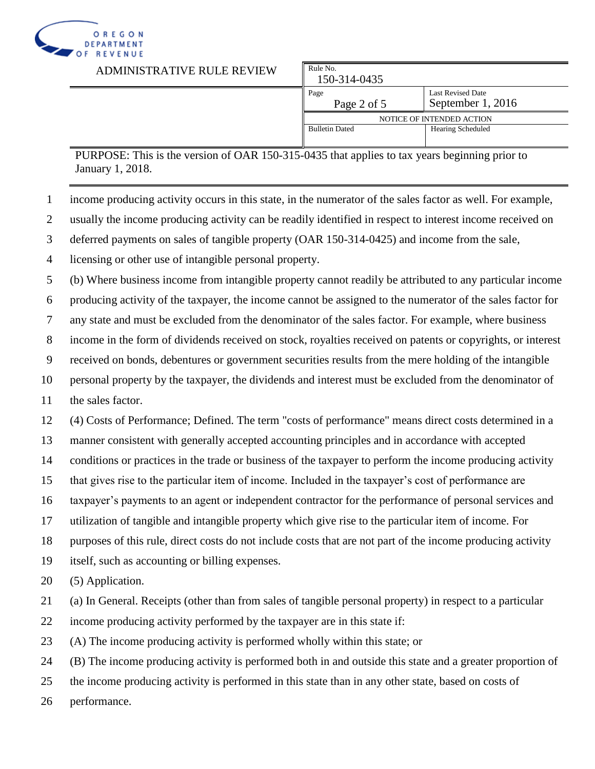

| ADMINISTRATIVE RULE REVIEW | Rule No.<br>150-314-0435 |                                               |
|----------------------------|--------------------------|-----------------------------------------------|
|                            | Page<br>Page 2 of 5      | <b>Last Revised Date</b><br>September 1, 2016 |
|                            |                          | NOTICE OF INTENDED ACTION                     |
|                            | <b>Bulletin Dated</b>    | Hearing Scheduled                             |
|                            |                          |                                               |

- income producing activity occurs in this state, in the numerator of the sales factor as well. For example,
- usually the income producing activity can be readily identified in respect to interest income received on
- deferred payments on sales of tangible property (OAR 150-314-0425) and income from the sale,
- licensing or other use of intangible personal property.

(b) Where business income from intangible property cannot readily be attributed to any particular income

- producing activity of the taxpayer, the income cannot be assigned to the numerator of the sales factor for
- any state and must be excluded from the denominator of the sales factor. For example, where business
- income in the form of dividends received on stock, royalties received on patents or copyrights, or interest
- received on bonds, debentures or government securities results from the mere holding of the intangible
- personal property by the taxpayer, the dividends and interest must be excluded from the denominator of
- the sales factor.
- (4) Costs of Performance; Defined. The term "costs of performance" means direct costs determined in a
- manner consistent with generally accepted accounting principles and in accordance with accepted
- conditions or practices in the trade or business of the taxpayer to perform the income producing activity
- that gives rise to the particular item of income. Included in the taxpayer's cost of performance are
- taxpayer's payments to an agent or independent contractor for the performance of personal services and
- utilization of tangible and intangible property which give rise to the particular item of income. For
- purposes of this rule, direct costs do not include costs that are not part of the income producing activity
- itself, such as accounting or billing expenses.
- (5) Application.
- (a) In General. Receipts (other than from sales of tangible personal property) in respect to a particular
- income producing activity performed by the taxpayer are in this state if:
- (A) The income producing activity is performed wholly within this state; or
- (B) The income producing activity is performed both in and outside this state and a greater proportion of
- the income producing activity is performed in this state than in any other state, based on costs of
- performance.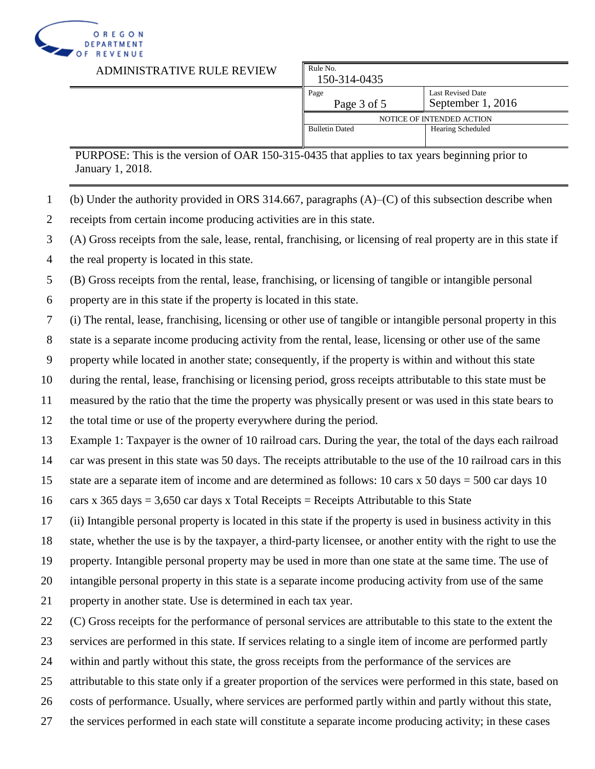

ADMINISTRATIVE RULE REVIE

| ₹W | Rule No.<br>150-314-0435  |                                        |
|----|---------------------------|----------------------------------------|
|    | Page<br>Page 3 of 5       | Last Revised Date<br>September 1, 2016 |
|    | NOTICE OF INTENDED ACTION |                                        |
|    | <b>Bulletin Dated</b>     | Hearing Scheduled                      |
|    |                           |                                        |

PURPOSE: This is the version of OAR 150-315-0435 that applies to tax years beginning prior to January 1, 2018.

- (b) Under the authority provided in ORS 314.667, paragraphs (A)–(C) of this subsection describe when
- receipts from certain income producing activities are in this state.
- (A) Gross receipts from the sale, lease, rental, franchising, or licensing of real property are in this state if
- the real property is located in this state.

(B) Gross receipts from the rental, lease, franchising, or licensing of tangible or intangible personal

property are in this state if the property is located in this state.

(i) The rental, lease, franchising, licensing or other use of tangible or intangible personal property in this

state is a separate income producing activity from the rental, lease, licensing or other use of the same

property while located in another state; consequently, if the property is within and without this state

during the rental, lease, franchising or licensing period, gross receipts attributable to this state must be

measured by the ratio that the time the property was physically present or was used in this state bears to

the total time or use of the property everywhere during the period.

Example 1: Taxpayer is the owner of 10 railroad cars. During the year, the total of the days each railroad

car was present in this state was 50 days. The receipts attributable to the use of the 10 railroad cars in this

15 state are a separate item of income and are determined as follows: 10 cars x 50 days = 500 car days 10

16 cars x 365 days = 3,650 car days x Total Receipts = Receipts Attributable to this State

(ii) Intangible personal property is located in this state if the property is used in business activity in this

state, whether the use is by the taxpayer, a third-party licensee, or another entity with the right to use the

property. Intangible personal property may be used in more than one state at the same time. The use of

intangible personal property in this state is a separate income producing activity from use of the same

property in another state. Use is determined in each tax year.

(C) Gross receipts for the performance of personal services are attributable to this state to the extent the

services are performed in this state. If services relating to a single item of income are performed partly

within and partly without this state, the gross receipts from the performance of the services are

attributable to this state only if a greater proportion of the services were performed in this state, based on

costs of performance. Usually, where services are performed partly within and partly without this state,

the services performed in each state will constitute a separate income producing activity; in these cases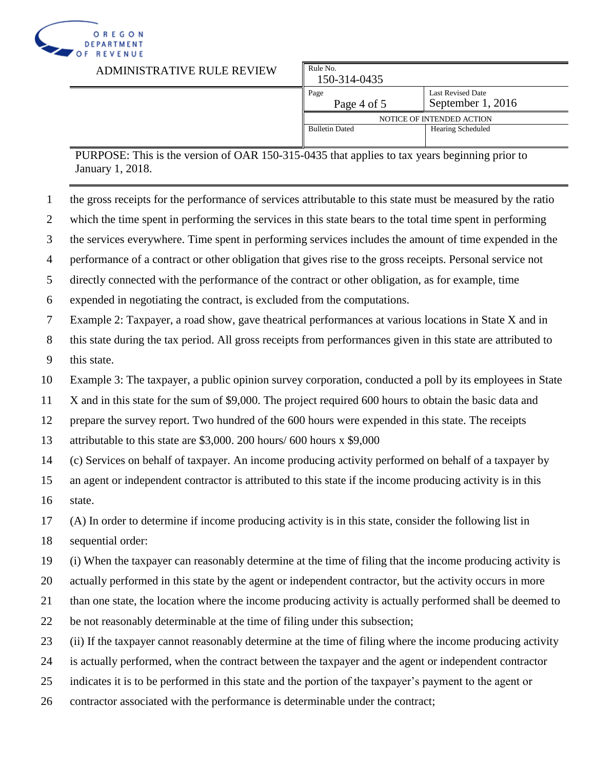

| ADMINISTRATIVE RULE REVIEW | Rule No.<br>150-314-0435 |                                               |
|----------------------------|--------------------------|-----------------------------------------------|
|                            | Page<br>Page 4 of 5      | <b>Last Revised Date</b><br>September 1, 2016 |
|                            |                          | NOTICE OF INTENDED ACTION                     |
|                            | <b>Bulletin Dated</b>    | <b>Hearing Scheduled</b>                      |
|                            |                          |                                               |

- the gross receipts for the performance of services attributable to this state must be measured by the ratio
- which the time spent in performing the services in this state bears to the total time spent in performing
- the services everywhere. Time spent in performing services includes the amount of time expended in the

performance of a contract or other obligation that gives rise to the gross receipts. Personal service not

directly connected with the performance of the contract or other obligation, as for example, time

expended in negotiating the contract, is excluded from the computations.

Example 2: Taxpayer, a road show, gave theatrical performances at various locations in State X and in

 this state during the tax period. All gross receipts from performances given in this state are attributed to this state.

Example 3: The taxpayer, a public opinion survey corporation, conducted a poll by its employees in State

X and in this state for the sum of \$9,000. The project required 600 hours to obtain the basic data and

prepare the survey report. Two hundred of the 600 hours were expended in this state. The receipts

attributable to this state are \$3,000. 200 hours/ 600 hours x \$9,000

(c) Services on behalf of taxpayer. An income producing activity performed on behalf of a taxpayer by

 an agent or independent contractor is attributed to this state if the income producing activity is in this state.

(A) In order to determine if income producing activity is in this state, consider the following list in

sequential order:

(i) When the taxpayer can reasonably determine at the time of filing that the income producing activity is

actually performed in this state by the agent or independent contractor, but the activity occurs in more

than one state, the location where the income producing activity is actually performed shall be deemed to

be not reasonably determinable at the time of filing under this subsection;

(ii) If the taxpayer cannot reasonably determine at the time of filing where the income producing activity

is actually performed, when the contract between the taxpayer and the agent or independent contractor

indicates it is to be performed in this state and the portion of the taxpayer's payment to the agent or

contractor associated with the performance is determinable under the contract;